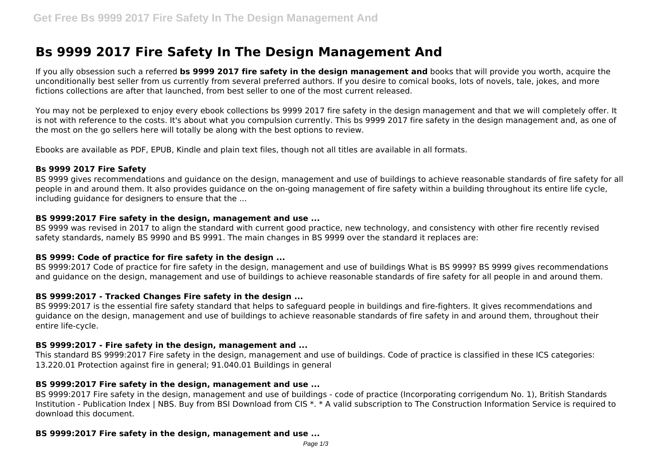# **Bs 9999 2017 Fire Safety In The Design Management And**

If you ally obsession such a referred **bs 9999 2017 fire safety in the design management and** books that will provide you worth, acquire the unconditionally best seller from us currently from several preferred authors. If you desire to comical books, lots of novels, tale, jokes, and more fictions collections are after that launched, from best seller to one of the most current released.

You may not be perplexed to enjoy every ebook collections bs 9999 2017 fire safety in the design management and that we will completely offer. It is not with reference to the costs. It's about what you compulsion currently. This bs 9999 2017 fire safety in the design management and, as one of the most on the go sellers here will totally be along with the best options to review.

Ebooks are available as PDF, EPUB, Kindle and plain text files, though not all titles are available in all formats.

#### **Bs 9999 2017 Fire Safety**

BS 9999 gives recommendations and guidance on the design, management and use of buildings to achieve reasonable standards of fire safety for all people in and around them. It also provides guidance on the on-going management of fire safety within a building throughout its entire life cycle, including guidance for designers to ensure that the ...

### **BS 9999:2017 Fire safety in the design, management and use ...**

BS 9999 was revised in 2017 to align the standard with current good practice, new technology, and consistency with other fire recently revised safety standards, namely BS 9990 and BS 9991. The main changes in BS 9999 over the standard it replaces are:

# **BS 9999: Code of practice for fire safety in the design ...**

BS 9999:2017 Code of practice for fire safety in the design, management and use of buildings What is BS 9999? BS 9999 gives recommendations and guidance on the design, management and use of buildings to achieve reasonable standards of fire safety for all people in and around them.

# **BS 9999:2017 - Tracked Changes Fire safety in the design ...**

BS 9999:2017 is the essential fire safety standard that helps to safeguard people in buildings and fire-fighters. It gives recommendations and guidance on the design, management and use of buildings to achieve reasonable standards of fire safety in and around them, throughout their entire life-cycle.

### **BS 9999:2017 - Fire safety in the design, management and ...**

This standard BS 9999:2017 Fire safety in the design, management and use of buildings. Code of practice is classified in these ICS categories: 13.220.01 Protection against fire in general; 91.040.01 Buildings in general

### **BS 9999:2017 Fire safety in the design, management and use ...**

BS 9999:2017 Fire safety in the design, management and use of buildings - code of practice (Incorporating corrigendum No. 1), British Standards Institution - Publication Index | NBS. Buy from BSI Download from CIS \*. \* A valid subscription to The Construction Information Service is required to download this document.

# **BS 9999:2017 Fire safety in the design, management and use ...**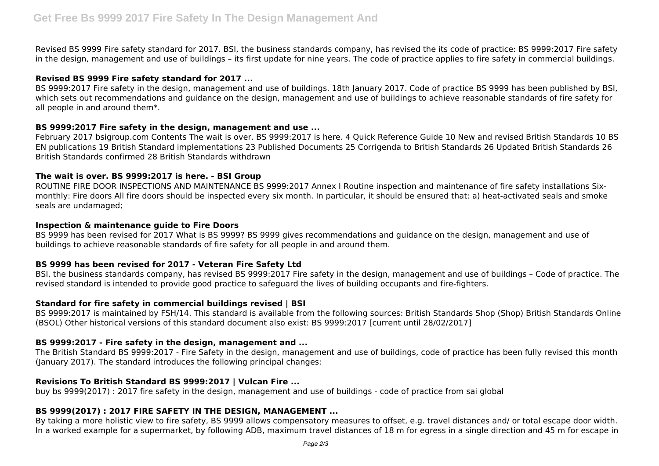Revised BS 9999 Fire safety standard for 2017. BSI, the business standards company, has revised the its code of practice: BS 9999:2017 Fire safety in the design, management and use of buildings – its first update for nine years. The code of practice applies to fire safety in commercial buildings.

#### **Revised BS 9999 Fire safety standard for 2017 ...**

BS 9999:2017 Fire safety in the design, management and use of buildings. 18th January 2017. Code of practice BS 9999 has been published by BSI, which sets out recommendations and guidance on the design, management and use of buildings to achieve reasonable standards of fire safety for all people in and around them\*.

### **BS 9999:2017 Fire safety in the design, management and use ...**

February 2017 bsigroup.com Contents The wait is over. BS 9999:2017 is here. 4 Quick Reference Guide 10 New and revised British Standards 10 BS EN publications 19 British Standard implementations 23 Published Documents 25 Corrigenda to British Standards 26 Updated British Standards 26 British Standards confirmed 28 British Standards withdrawn

### **The wait is over. BS 9999:2017 is here. - BSI Group**

ROUTINE FIRE DOOR INSPECTIONS AND MAINTENANCE BS 9999:2017 Annex I Routine inspection and maintenance of fire safety installations Sixmonthly: Fire doors All fire doors should be inspected every six month. In particular, it should be ensured that: a) heat-activated seals and smoke seals are undamaged;

#### **Inspection & maintenance guide to Fire Doors**

BS 9999 has been revised for 2017 What is BS 9999? BS 9999 gives recommendations and guidance on the design, management and use of buildings to achieve reasonable standards of fire safety for all people in and around them.

### **BS 9999 has been revised for 2017 - Veteran Fire Safety Ltd**

BSI, the business standards company, has revised BS 9999:2017 Fire safety in the design, management and use of buildings – Code of practice. The revised standard is intended to provide good practice to safeguard the lives of building occupants and fire-fighters.

### **Standard for fire safety in commercial buildings revised | BSI**

BS 9999:2017 is maintained by FSH/14. This standard is available from the following sources: British Standards Shop (Shop) British Standards Online (BSOL) Other historical versions of this standard document also exist: BS 9999:2017 [current until 28/02/2017]

### **BS 9999:2017 - Fire safety in the design, management and ...**

The British Standard BS 9999:2017 - Fire Safety in the design, management and use of buildings, code of practice has been fully revised this month (January 2017). The standard introduces the following principal changes:

### **Revisions To British Standard BS 9999:2017 | Vulcan Fire ...**

buy bs 9999(2017) : 2017 fire safety in the design, management and use of buildings - code of practice from sai global

### **BS 9999(2017) : 2017 FIRE SAFETY IN THE DESIGN, MANAGEMENT ...**

By taking a more holistic view to fire safety, BS 9999 allows compensatory measures to offset, e.g. travel distances and/ or total escape door width. In a worked example for a supermarket, by following ADB, maximum travel distances of 18 m for egress in a single direction and 45 m for escape in